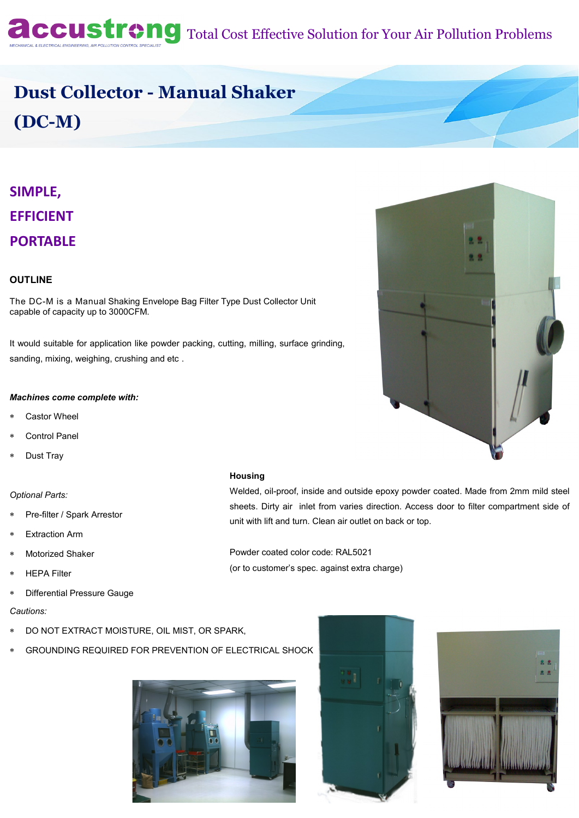**Accustreng** Total Cost Effective Solution for Your Air Pollution Problems

# **Dust Collector - Manual Shaker (DC-M)**

## **SIMPLE, EFFICIENT PORTABLE**

## **OUTLINE**

The DC-M is a Manual Shaking Envelope Bag Filter Type Dust Collector Unit capable of capacity up to 3000CFM.

It would suitable for application like powder packing, cutting, milling, surface grinding, sanding, mixing, weighing, crushing and etc .

#### *Machines come complete with:*

- Castor Wheel
- Control Panel
- Dust Tray

#### *Optional Parts:*

- Pre-filter / Spark Arrestor
- Extraction Arm
- Motorized Shaker
- \* HEPA Filter
- Differential Pressure Gauge

*Cautions:* 

- DO NOT EXTRACT MOISTURE, OIL MIST, OR SPARK,
- GROUNDING REQUIRED FOR PREVENTION OF ELECTRICAL SHOCK









#### **Housing**

Welded, oil-proof, inside and outside epoxy powder coated. Made from 2mm mild steel sheets. Dirty air inlet from varies direction. Access door to filter compartment side of unit with lift and turn. Clean air outlet on back or top.

Powder coated color code: RAL5021 (or to customer's spec. against extra charge)